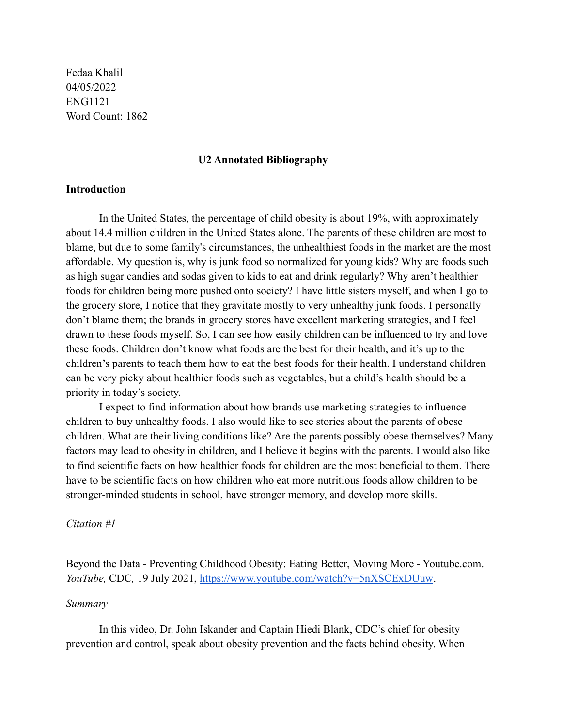Fedaa Khalil 04/05/2022 ENG1121 Word Count: 1862

#### **U2 Annotated Bibliography**

## **Introduction**

In the United States, the percentage of child obesity is about 19%, with approximately about 14.4 million children in the United States alone. The parents of these children are most to blame, but due to some family's circumstances, the unhealthiest foods in the market are the most affordable. My question is, why is junk food so normalized for young kids? Why are foods such as high sugar candies and sodas given to kids to eat and drink regularly? Why aren't healthier foods for children being more pushed onto society? I have little sisters myself, and when I go to the grocery store, I notice that they gravitate mostly to very unhealthy junk foods. I personally don't blame them; the brands in grocery stores have excellent marketing strategies, and I feel drawn to these foods myself. So, I can see how easily children can be influenced to try and love these foods. Children don't know what foods are the best for their health, and it's up to the children's parents to teach them how to eat the best foods for their health. I understand children can be very picky about healthier foods such as vegetables, but a child's health should be a priority in today's society.

I expect to find information about how brands use marketing strategies to influence children to buy unhealthy foods. I also would like to see stories about the parents of obese children. What are their living conditions like? Are the parents possibly obese themselves? Many factors may lead to obesity in children, and I believe it begins with the parents. I would also like to find scientific facts on how healthier foods for children are the most beneficial to them. There have to be scientific facts on how children who eat more nutritious foods allow children to be stronger-minded students in school, have stronger memory, and develop more skills.

### *Citation #1*

Beyond the Data - Preventing Childhood Obesity: Eating Better, Moving More - Youtube.com. *YouTube,* CDC*,* 19 July 2021, <https://www.youtube.com/watch?v=5nXSCExDUuw>.

#### *Summary*

In this video, Dr. John Iskander and Captain Hiedi Blank, CDC's chief for obesity prevention and control, speak about obesity prevention and the facts behind obesity. When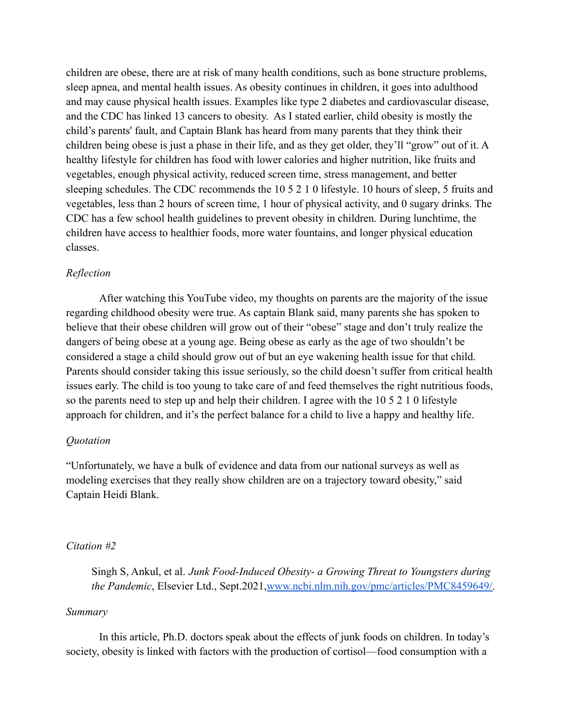children are obese, there are at risk of many health conditions, such as bone structure problems, sleep apnea, and mental health issues. As obesity continues in children, it goes into adulthood and may cause physical health issues. Examples like type 2 diabetes and cardiovascular disease, and the CDC has linked 13 cancers to obesity. As I stated earlier, child obesity is mostly the child's parents' fault, and Captain Blank has heard from many parents that they think their children being obese is just a phase in their life, and as they get older, they'll "grow" out of it. A healthy lifestyle for children has food with lower calories and higher nutrition, like fruits and vegetables, enough physical activity, reduced screen time, stress management, and better sleeping schedules. The CDC recommends the 10 5 2 1 0 lifestyle. 10 hours of sleep, 5 fruits and vegetables, less than 2 hours of screen time, 1 hour of physical activity, and 0 sugary drinks. The CDC has a few school health guidelines to prevent obesity in children. During lunchtime, the children have access to healthier foods, more water fountains, and longer physical education classes.

## *Reflection*

After watching this YouTube video, my thoughts on parents are the majority of the issue regarding childhood obesity were true. As captain Blank said, many parents she has spoken to believe that their obese children will grow out of their "obese" stage and don't truly realize the dangers of being obese at a young age. Being obese as early as the age of two shouldn't be considered a stage a child should grow out of but an eye wakening health issue for that child. Parents should consider taking this issue seriously, so the child doesn't suffer from critical health issues early. The child is too young to take care of and feed themselves the right nutritious foods, so the parents need to step up and help their children. I agree with the 10 5 2 1 0 lifestyle approach for children, and it's the perfect balance for a child to live a happy and healthy life.

## *Quotation*

"Unfortunately, we have a bulk of evidence and data from our national surveys as well as modeling exercises that they really show children are on a trajectory toward obesity," said Captain Heidi Blank.

## *Citation #2*

Singh S, Ankul, et al. *Junk Food-Induced Obesity- a Growing Threat to Youngsters during the Pandemic*, Elsevier Ltd., Sept.2021,[www.ncbi.nlm.nih.gov/pmc/articles/PMC8459649/.](http://www.ncbi.nlm.nih.gov/pmc/articles/PMC8459649/)

#### *Summary*

In this article, Ph.D. doctors speak about the effects of junk foods on children. In today's society, obesity is linked with factors with the production of cortisol—food consumption with a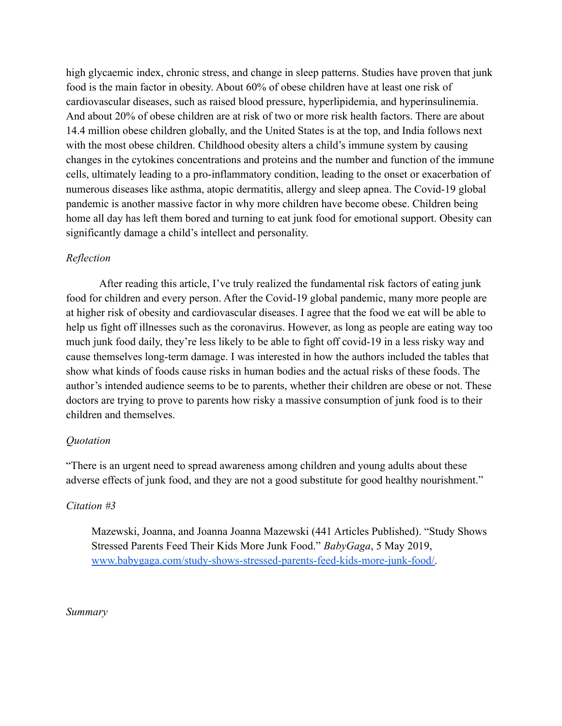high glycaemic index, chronic stress, and change in sleep patterns. Studies have proven that junk food is the main factor in obesity. About 60% of obese children have at least one risk of cardiovascular diseases, such as raised blood pressure, hyperlipidemia, and hyperinsulinemia. And about 20% of obese children are at risk of two or more risk health factors. There are about 14.4 million obese children globally, and the United States is at the top, and India follows next with the most obese children. Childhood obesity alters a child's immune system by causing changes in the cytokines concentrations and proteins and the number and function of the immune cells, ultimately leading to a pro-inflammatory condition, leading to the onset or exacerbation of numerous diseases like asthma, atopic dermatitis, allergy and sleep apnea. The Covid-19 global pandemic is another massive factor in why more children have become obese. Children being home all day has left them bored and turning to eat junk food for emotional support. Obesity can significantly damage a child's intellect and personality.

# *Reflection*

After reading this article, I've truly realized the fundamental risk factors of eating junk food for children and every person. After the Covid-19 global pandemic, many more people are at higher risk of obesity and cardiovascular diseases. I agree that the food we eat will be able to help us fight off illnesses such as the coronavirus. However, as long as people are eating way too much junk food daily, they're less likely to be able to fight off covid-19 in a less risky way and cause themselves long-term damage. I was interested in how the authors included the tables that show what kinds of foods cause risks in human bodies and the actual risks of these foods. The author's intended audience seems to be to parents, whether their children are obese or not. These doctors are trying to prove to parents how risky a massive consumption of junk food is to their children and themselves.

# *Quotation*

"There is an urgent need to spread awareness among children and young adults about these adverse effects of junk food, and they are not a good substitute for good healthy nourishment."

# *Citation #3*

Mazewski, Joanna, and Joanna Joanna Mazewski (441 Articles Published). "Study Shows Stressed Parents Feed Their Kids More Junk Food." *BabyGaga*, 5 May 2019, [www.babygaga.com/study-shows-stressed-parents-feed-kids-more-junk-food/.](http://www.babygaga.com/study-shows-stressed-parents-feed-kids-more-junk-food/)

*Summary*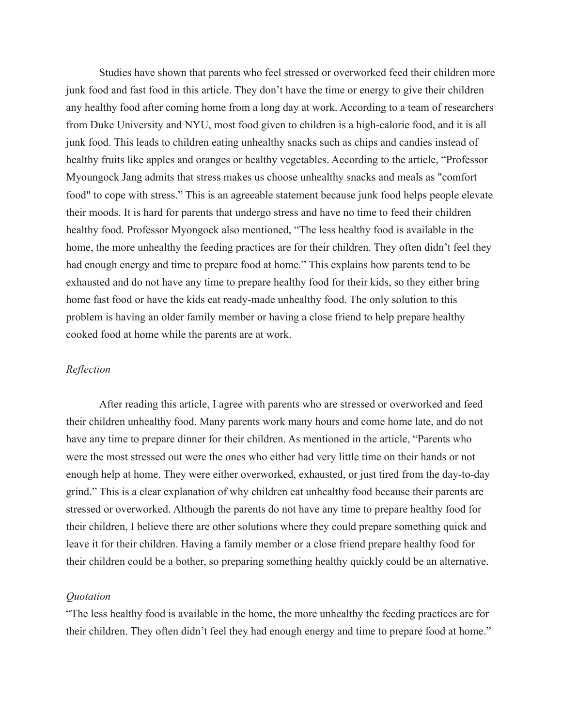Studies have shown that parents who feel stressed or overworked feed their children more junk food and fast food in this article. They don't have the time or energy to give their children any healthy food after coming home from a long day at work. According to a team of researchers from Duke University and NYU, most food given to children is a high-calorie food, and it is all junk food. This leads to children eating unhealthy snacks such as chips and candies instead of healthy fruits like apples and oranges or healthy vegetables. According to the article, "Professor Myoungock Jang admits that stress makes us choose unhealthy snacks and meals as "comfort food" to cope with stress." This is an agreeable statement because junk food helps people elevate their moods. It is hard for parents that undergo stress and have no time to feed their children healthy food. Professor Myongock also mentioned, "The less healthy food is available in the home, the more unhealthy the feeding practices are for their children. They often didn't feel they had enough energy and time to prepare food at home." This explains how parents tend to be exhausted and do not have any time to prepare healthy food for their kids, so they either bring home fast food or have the kids eat ready-made unhealthy food. The only solution to this problem is having an older family member or having a close friend to help prepare healthy cooked food at home while the parents are at work.

## *Reflection*

After reading this article, I agree with parents who are stressed or overworked and feed their children unhealthy food. Many parents work many hours and come home late, and do not have any time to prepare dinner for their children. As mentioned in the article, "Parents who were the most stressed out were the ones who either had very little time on their hands or not enough help at home. They were either overworked, exhausted, or just tired from the day-to-day grind." This is a clear explanation of why children eat unhealthy food because their parents are stressed or overworked. Although the parents do not have any time to prepare healthy food for their children, I believe there are other solutions where they could prepare something quick and leave it for their children. Having a family member or a close friend prepare healthy food for their children could be a bother, so preparing something healthy quickly could be an alternative.

#### *Quotation*

"The less healthy food is available in the home, the more unhealthy the feeding practices are for their children. They often didn't feel they had enough energy and time to prepare food at home."